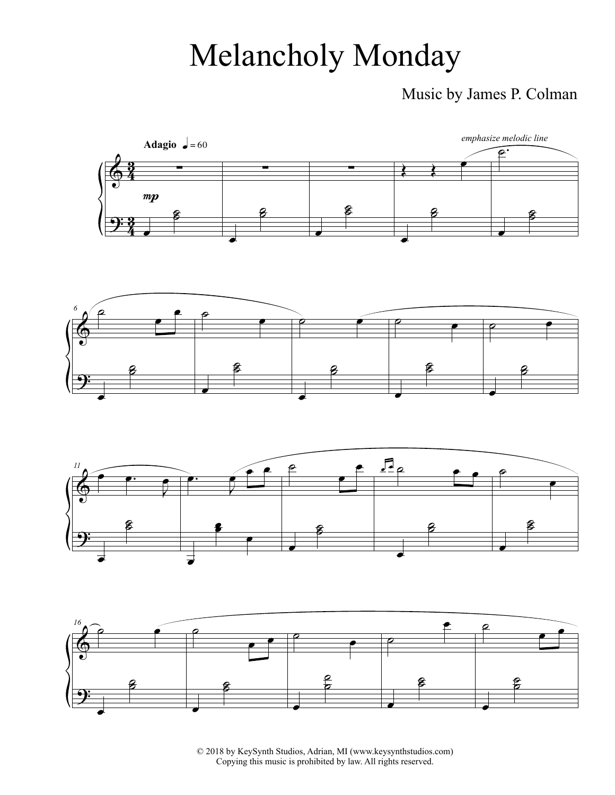## Melancholy Monday

## Music by James P. Colman









© 2018 by KeySynth Studios, Adrian, MI (www.keysynthstudios.com) Copying this music is prohibited by law. All rights reserved.